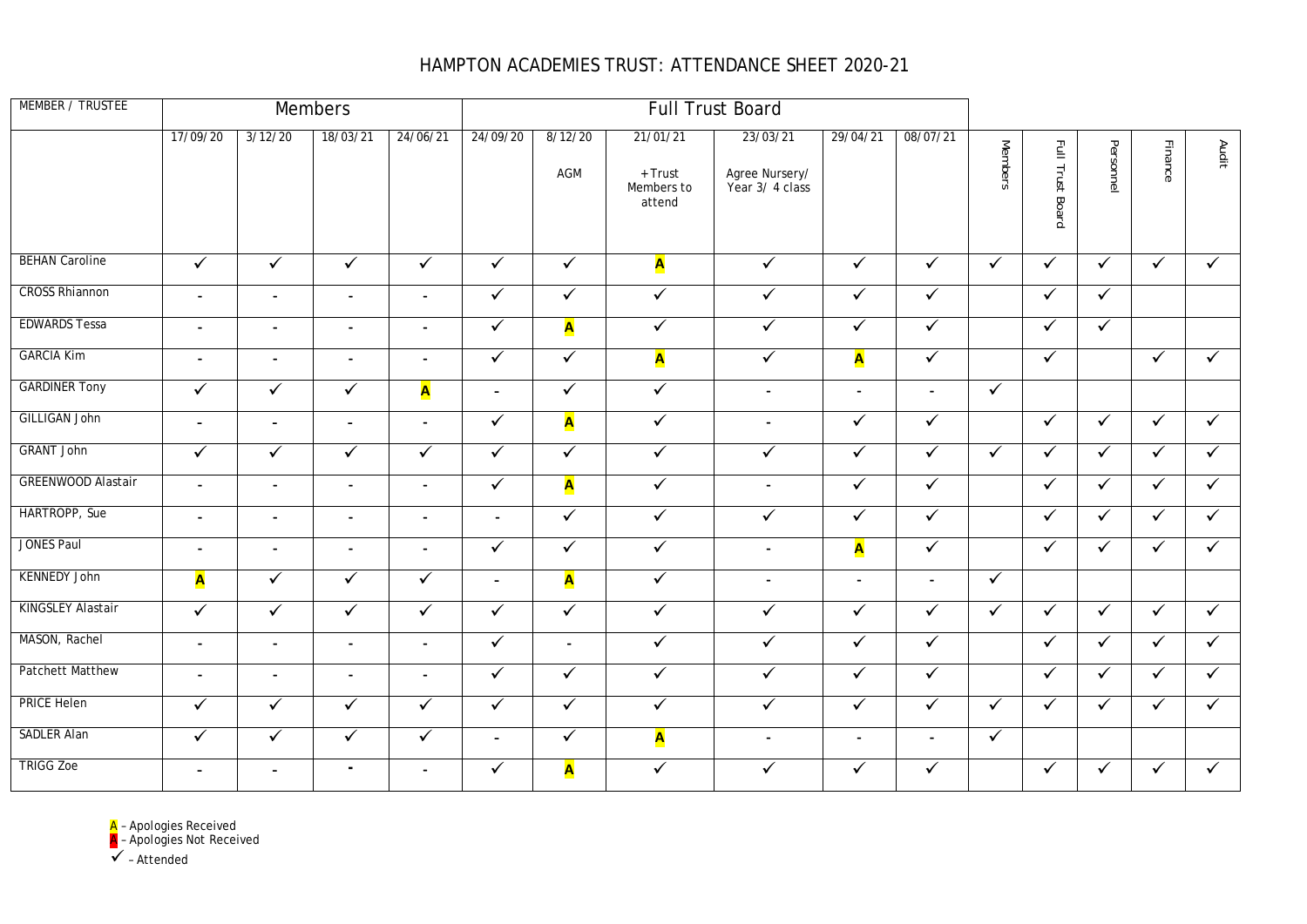## HAMPTON ACADEMIES TRUST: ATTENDANCE SHEET 2020-21

| MEMBER / TRUSTEE          |                |                          | Members        |                          |                |                | <b>Full Trust Board</b>                     |                                               |                          |                |                |                  |              |              |                      |
|---------------------------|----------------|--------------------------|----------------|--------------------------|----------------|----------------|---------------------------------------------|-----------------------------------------------|--------------------------|----------------|----------------|------------------|--------------|--------------|----------------------|
|                           | 17/09/20       | 3/12/20                  | 18/03/21       | 24/06/21                 | 24/09/20       | 8/12/20<br>AGM | 21/01/21<br>+ Trust<br>Members to<br>attend | 23/03/21<br>Agree Nursery/<br>Year 3/ 4 class | 29/04/21                 | 08/07/21       | <b>Members</b> | Full Trust Board | Personnel    | Finance      | Audit                |
| <b>BEHAN Caroline</b>     | $\sqrt{}$      | $\checkmark$             | $\checkmark$   | $\checkmark$             | $\checkmark$   | $\checkmark$   | A                                           | $\checkmark$                                  | $\checkmark$             | $\checkmark$   | $\checkmark$   | $\checkmark$     | $\checkmark$ | $\checkmark$ | $\checkmark$         |
| <b>CROSS Rhiannon</b>     | $\blacksquare$ | $\blacksquare$           | $\blacksquare$ | $\blacksquare$           | $\checkmark$   | ✓              | $\checkmark$                                | $\checkmark$                                  | $\checkmark$             | $\checkmark$   |                | $\checkmark$     | $\checkmark$ |              |                      |
| <b>EDWARDS Tessa</b>      | $\blacksquare$ | $\overline{\phantom{a}}$ | $\blacksquare$ | $\overline{\phantom{a}}$ | $\checkmark$   | A              | $\checkmark$                                | $\checkmark$                                  | $\checkmark$             | $\checkmark$   |                | $\checkmark$     | $\checkmark$ |              |                      |
| <b>GARCIA Kim</b>         | $\blacksquare$ | $\blacksquare$           | $\blacksquare$ | $\blacksquare$           | $\checkmark$   | $\checkmark$   | A                                           | $\checkmark$                                  | A                        | $\checkmark$   |                | $\checkmark$     |              | $\checkmark$ | $\checkmark$         |
| <b>GARDINER Tony</b>      | $\checkmark$   | $\checkmark$             | $\checkmark$   | A                        | $\blacksquare$ | $\checkmark$   | $\checkmark$                                | $\blacksquare$                                | $\overline{\phantom{a}}$ | $\blacksquare$ | $\checkmark$   |                  |              |              |                      |
| <b>GILLIGAN John</b>      | $\blacksquare$ | $\blacksquare$           | $\blacksquare$ | $\blacksquare$           | $\checkmark$   | A              | $\checkmark$                                | $\blacksquare$                                | $\checkmark$             | $\checkmark$   |                | $\checkmark$     | $\checkmark$ | $\checkmark$ | $\checkmark$         |
| <b>GRANT John</b>         | $\checkmark$   | $\checkmark$             | $\checkmark$   | $\checkmark$             | $\checkmark$   | $\checkmark$   | $\checkmark$                                | $\checkmark$                                  | $\checkmark$             | $\checkmark$   | $\checkmark$   | $\checkmark$     | $\checkmark$ | $\checkmark$ | $\checkmark$         |
| <b>GREENWOOD Alastair</b> | $\overline{a}$ | $\blacksquare$           | $\blacksquare$ | $\blacksquare$           | $\sqrt{}$      | A              | $\blacktriangledown$                        | $\blacksquare$                                | $\overline{\checkmark}$  | $\sqrt{}$      |                | $\checkmark$     | $\checkmark$ | $\checkmark$ | $\blacktriangledown$ |
| HARTROPP, Sue             | $\blacksquare$ | $\blacksquare$           | $\blacksquare$ | $\blacksquare$           | $\blacksquare$ | $\checkmark$   | $\checkmark$                                | $\checkmark$                                  | $\checkmark$             | $\checkmark$   |                | $\checkmark$     | $\checkmark$ | $\checkmark$ | $\checkmark$         |
| <b>JONES Paul</b>         | $\blacksquare$ | $\overline{\phantom{a}}$ | $\blacksquare$ | $\sim$                   | $\checkmark$   | $\checkmark$   | $\checkmark$                                | $\blacksquare$                                | A                        | $\sqrt{}$      |                | $\checkmark$     | $\checkmark$ | $\checkmark$ | $\checkmark$         |
| <b>KENNEDY John</b>       | A              | $\checkmark$             | $\checkmark$   | $\checkmark$             | $\blacksquare$ | A              | $\checkmark$                                | $\blacksquare$                                | $\blacksquare$           | $\blacksquare$ | $\checkmark$   |                  |              |              |                      |
| <b>KINGSLEY Alastair</b>  | $\sqrt{}$      | $\checkmark$             | $\checkmark$   | $\checkmark$             | $\checkmark$   | $\sqrt{}$      | $\sqrt{}$                                   | $\checkmark$                                  | $\checkmark$             | $\checkmark$   | $\checkmark$   | $\checkmark$     | $\checkmark$ | $\checkmark$ | $\checkmark$         |
| MASON, Rachel             | $\blacksquare$ | $\blacksquare$           | $\blacksquare$ | $\blacksquare$           | $\checkmark$   | $\blacksquare$ | $\checkmark$                                | $\sqrt{}$                                     | $\checkmark$             | $\checkmark$   |                | $\checkmark$     | $\checkmark$ | $\checkmark$ | $\checkmark$         |
| <b>Patchett Matthew</b>   | $\blacksquare$ | $\blacksquare$           | $\blacksquare$ | $\blacksquare$           | $\checkmark$   | $\checkmark$   | $\checkmark$                                | $\checkmark$                                  | $\checkmark$             | $\checkmark$   |                | ✓                | $\checkmark$ | $\checkmark$ | $\checkmark$         |
| <b>PRICE Helen</b>        | $\sqrt{}$      | $\sqrt{}$                | $\checkmark$   | $\checkmark$             | $\sqrt{}$      | $\sqrt{}$      | $\overline{\checkmark}$                     | $\sqrt{}$                                     | $\checkmark$             | $\checkmark$   | $\checkmark$   | $\checkmark$     | $\checkmark$ | $\checkmark$ | $\blacktriangledown$ |
| <b>SADLER Alan</b>        | $\checkmark$   | ✓                        | $\checkmark$   | $\checkmark$             | $\blacksquare$ | $\checkmark$   | A                                           | $\sim$                                        | $\blacksquare$           | $\blacksquare$ | $\checkmark$   |                  |              |              |                      |
| <b>TRIGG Zoe</b>          | $\blacksquare$ | $\blacksquare$           | $\blacksquare$ | $\blacksquare$           | $\checkmark$   | A              | $\checkmark$                                | $\checkmark$                                  | $\checkmark$             | $\checkmark$   |                | $\checkmark$     | $\checkmark$ | $\checkmark$ | $\checkmark$         |

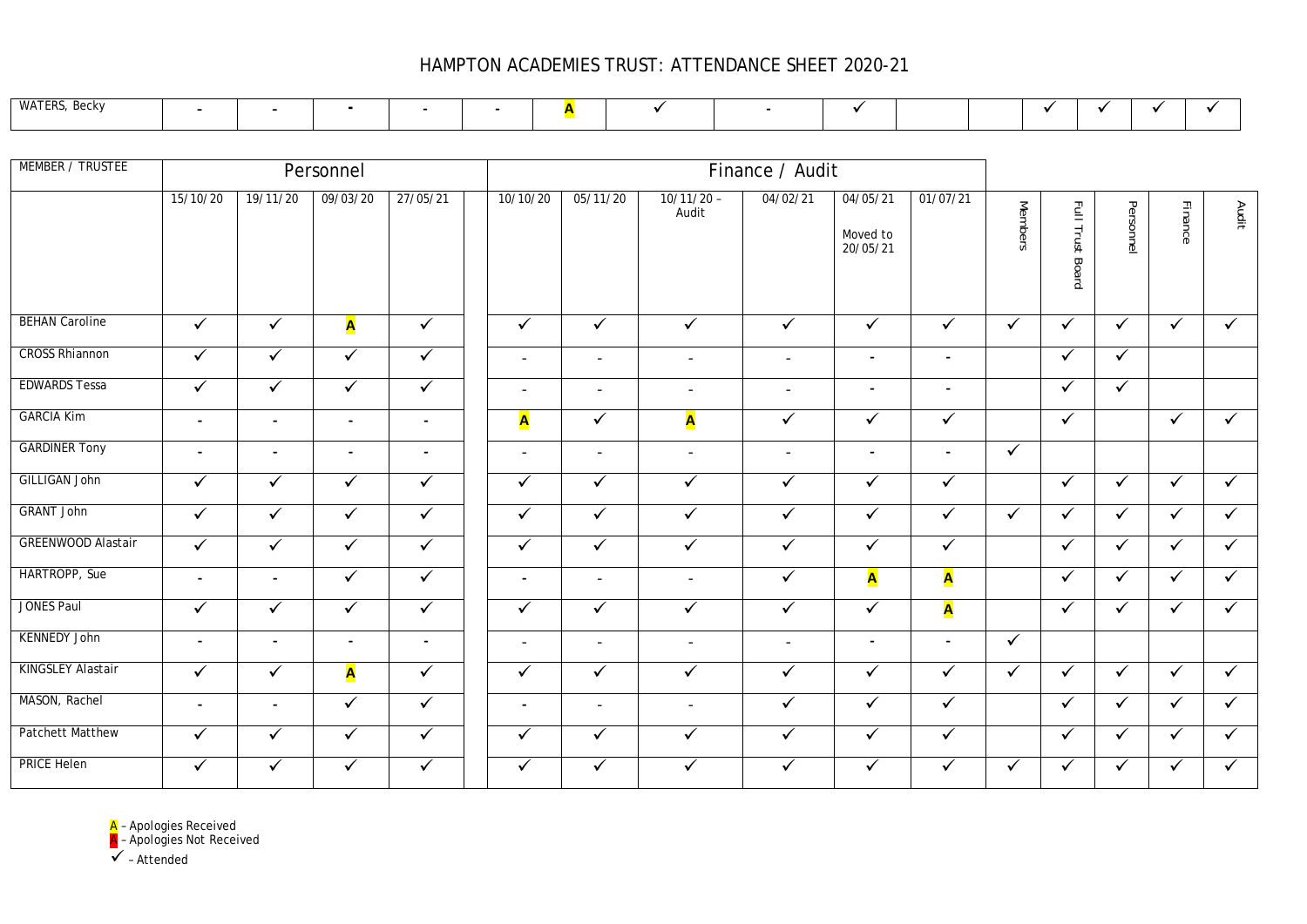## HAMPTON ACADEMIES TRUST: ATTENDANCE SHEET 2020-21

| <b>WATF</b> |  |
|-------------|--|
|-------------|--|

| MEMBER / TRUSTEE          |                |                | Personnel      |                | Finance / Audit          |                          |                          |                          |                                  |                          |                |                         |              |              |              |
|---------------------------|----------------|----------------|----------------|----------------|--------------------------|--------------------------|--------------------------|--------------------------|----------------------------------|--------------------------|----------------|-------------------------|--------------|--------------|--------------|
|                           | 15/10/20       | 19/11/20       | 09/03/20       | 27/05/21       | 10/10/20                 | 05/11/20                 | $10/11/20 -$<br>Audit    | 04/02/21                 | 04/05/21<br>Moved to<br>20/05/21 | 01/07/21                 | <b>Members</b> | <b>Full Trust Board</b> | Personnel    | Finance      | Audit        |
| <b>BEHAN Caroline</b>     | $\checkmark$   | $\checkmark$   | A              | $\checkmark$   | $\checkmark$             | $\checkmark$             | $\checkmark$             | $\checkmark$             | $\checkmark$                     | $\checkmark$             | $\checkmark$   | $\checkmark$            | $\checkmark$ | $\checkmark$ | $\checkmark$ |
| <b>CROSS Rhiannon</b>     | $\sqrt{}$      | $\checkmark$   | $\checkmark$   | $\checkmark$   | $\overline{\phantom{a}}$ | $\overline{\phantom{a}}$ | $\overline{\phantom{a}}$ | $\sim$                   | $\overline{\phantom{a}}$         | $\overline{\phantom{a}}$ |                | $\checkmark$            | $\checkmark$ |              |              |
| <b>EDWARDS Tessa</b>      | $\checkmark$   | $\checkmark$   | $\checkmark$   | $\checkmark$   | $\overline{\phantom{a}}$ | $\overline{\phantom{a}}$ | $\sim$                   | $\overline{\phantom{a}}$ | $\blacksquare$                   | $\blacksquare$           |                | $\checkmark$            | $\checkmark$ |              |              |
| <b>GARCIA Kim</b>         | $\blacksquare$ | $\blacksquare$ | $\sim$         | $\sim$         | A                        | $\checkmark$             | A                        | $\checkmark$             | $\checkmark$                     | $\checkmark$             |                | $\checkmark$            |              | $\checkmark$ | $\checkmark$ |
| <b>GARDINER Tony</b>      | $\blacksquare$ | $\blacksquare$ | $\blacksquare$ | $\blacksquare$ | $\overline{\phantom{a}}$ | $\overline{\phantom{a}}$ | $\overline{\phantom{a}}$ | $\overline{\phantom{a}}$ | $\overline{\phantom{a}}$         | $\blacksquare$           | $\checkmark$   |                         |              |              |              |
| <b>GILLIGAN John</b>      | $\checkmark$   | $\checkmark$   | $\checkmark$   | $\checkmark$   | $\checkmark$             | $\checkmark$             | $\checkmark$             | $\checkmark$             | $\sqrt{}$                        | $\blacktriangledown$     |                | $\checkmark$            | $\checkmark$ | $\checkmark$ | $\checkmark$ |
| <b>GRANT John</b>         | $\checkmark$   | $\checkmark$   | $\checkmark$   | $\checkmark$   | $\checkmark$             | $\checkmark$             | $\checkmark$             | $\checkmark$             | $\checkmark$                     | $\checkmark$             | $\checkmark$   | $\checkmark$            | $\checkmark$ | $\checkmark$ | $\checkmark$ |
| <b>GREENWOOD Alastair</b> | $\checkmark$   | $\checkmark$   | $\checkmark$   | $\checkmark$   | $\checkmark$             | $\checkmark$             | $\checkmark$             | $\checkmark$             | $\checkmark$                     | $\checkmark$             |                | $\checkmark$            | $\checkmark$ | $\checkmark$ | $\checkmark$ |
| HARTROPP, Sue             | $\blacksquare$ | $\blacksquare$ | $\checkmark$   | $\checkmark$   | $\blacksquare$           | $\overline{\phantom{a}}$ | $\sim$                   | $\checkmark$             | <b>A</b>                         | A                        |                | $\checkmark$            | $\checkmark$ | $\checkmark$ | $\checkmark$ |
| <b>JONES Paul</b>         | $\sqrt{}$      | $\checkmark$   | $\checkmark$   | $\checkmark$   | $\checkmark$             | $\checkmark$             | $\checkmark$             | $\checkmark$             | $\checkmark$                     | A                        |                | $\checkmark$            | $\checkmark$ | $\checkmark$ | $\checkmark$ |
| <b>KENNEDY John</b>       | $\blacksquare$ | $\blacksquare$ | $\blacksquare$ | $\blacksquare$ | $\overline{\phantom{a}}$ | $\sim$                   | $\overline{\phantom{a}}$ | $\overline{\phantom{a}}$ | $\overline{\phantom{a}}$         | $\overline{\phantom{a}}$ | $\checkmark$   |                         |              |              |              |
| KINGSLEY Alastair         | $\checkmark$   | $\checkmark$   | A              | $\checkmark$   | $\checkmark$             | $\checkmark$             | $\checkmark$             | $\checkmark$             | $\checkmark$                     | $\checkmark$             | $\checkmark$   | $\checkmark$            | $\checkmark$ | $\checkmark$ | $\checkmark$ |
| MASON, Rachel             | $\blacksquare$ | $\blacksquare$ | $\checkmark$   | $\checkmark$   | $\overline{\phantom{a}}$ | $\overline{\phantom{a}}$ | $\overline{\phantom{a}}$ | $\checkmark$             | $\checkmark$                     | $\checkmark$             |                | $\checkmark$            | $\checkmark$ | $\checkmark$ | $\checkmark$ |
| <b>Patchett Matthew</b>   | $\checkmark$   | $\checkmark$   | $\checkmark$   | $\checkmark$   | $\checkmark$             | $\checkmark$             | $\checkmark$             | $\checkmark$             | $\checkmark$                     | $\checkmark$             |                | $\checkmark$            | $\checkmark$ | $\checkmark$ | $\checkmark$ |
| <b>PRICE Helen</b>        | $\checkmark$   | $\checkmark$   | $\checkmark$   | $\checkmark$   | ✓                        | $\checkmark$             | $\checkmark$             | ✓                        | $\checkmark$                     | $\checkmark$             | $\checkmark$   | $\checkmark$            | $\checkmark$ | $\checkmark$ | $\checkmark$ |